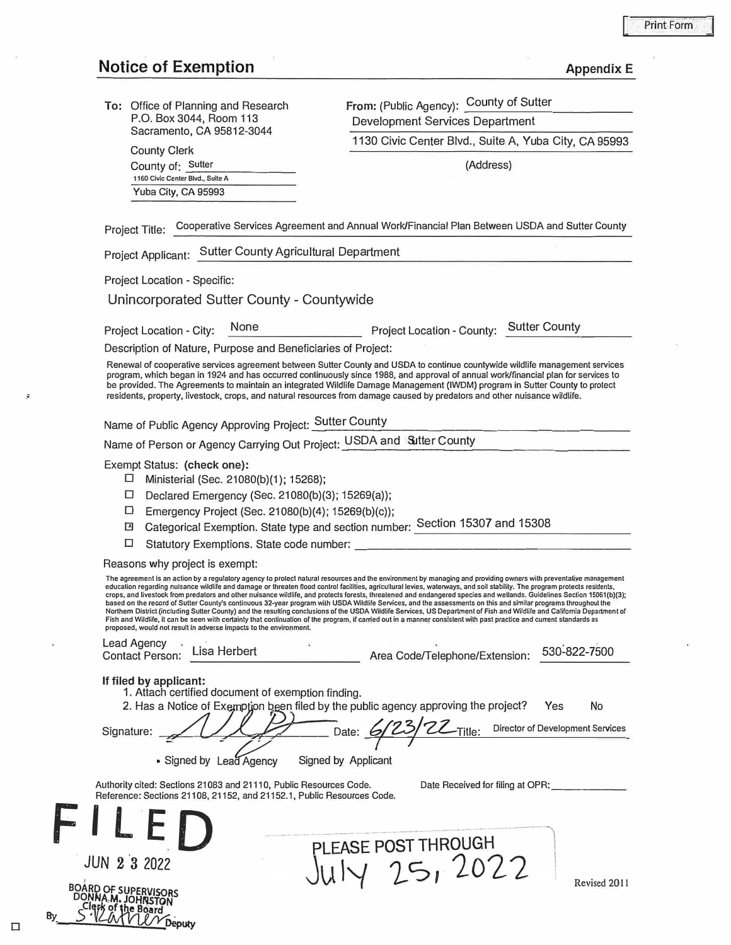## **Notice of Exemption** *Appendix E*

County Clerk County of: Sutter

**1160 Civic Genier Blvd., Suile A**  Yuba City, CA 95993

**To:** Office of Planning and Research P.O. Box 3044, Room 113 Sacramento, CA 95812-3044

From: (Public Agency): County of Sutter Development Services Department

1130 Civic Center Blvd., Suite A, Yuba City, CA 95993

(Address)

Project Title: Cooperative Services Agreement and Annual Work/Financial Plan Between USDA and Sutter County

Project Applicant: Sutter County Agricultural Department

Project Location - Specific:

Unincorporated Sutter County - Countywide

Project Location - City: None Project Location - County: Sutter County

Description of Nature, Purpose and Beneficiaries of Project:

Renewal of cooperative services agreement between Sutter County and USDA to continue countywide wildlife management services program, which began in 1924 and has occurred continuously since 1988, and approval of annual work/financial plan for services to be provided. The Agreements to maintain an integrated Wildlife Damage Management (IWDM) program in Sutter County to protect residents, property, livestock, crops, and natural resources from damage caused by predators and other nuisance wildlife.

Name of Public Agency Approving Project: Sutter County <sup>t</sup> y \_\_\_\_\_\_\_\_\_\_\_\_\_\_\_\_\_\_ \_

Name of Person or Agency Carrying Out Project: USDA and Sutter County

Exempt Status: **(check one):**

- D Ministerial (Sec. 21080(b)(1 ) ; 15268);
- $\square$  Declared Emergency (Sec. 21080(b)(3); 15269(a));
- D Emergency Project (Sec. 21080(b)(4); 15269(b) (c));
- D Categorical Exemption. State type and section number: Section 15307 and 15308
- D Statutory Exemptions. State code number: \_\_\_\_\_\_\_\_\_\_\_\_\_\_\_\_\_\_\_\_ \_

Reasons why project is exempt:

**The agreement is an action by a regulatory agency to protect natural resources and the environment by managing and providing owners with preventative management**  education regarding nuisance wildlife and damage or threaten flood control facilities, agricultural levies, waterways, and soil stability. The program protects residents,<br>crops, and livestock from predators and other nuisa **based on the record of Sutter County's continuous 32-year program wilh USDA Wildlife Services, and lhe assessmenls on this and similar programs lhroughoul the Northern Dislricl (including Sutter Counly) and the resulling conclusions or lhe USDA Wildlife Services, US Departmenl of Fish and Wildlife and Calirornia Department of Fish and Wildlire, it can be seen with certainty thal continuation of lhe program, if carried oul in a manner consistent wilh pasl praclice and current slandards as proposed, would not result in adverse impacts to the environment.** 

| Lead Agency<br>Contact Person: Lisa Herbert |  | Area Code/Telephone/Extension: 530-822-7500 |  |  |
|---------------------------------------------|--|---------------------------------------------|--|--|
|                                             |  |                                             |  |  |

**If filed by applicant:** 

1. Attach certified document of exemption finding.

2. Has a Notice of Exemption been filed by the public agency approving the project? Yes No Signature: <del>1.1.1.</del> Date: **6/23/22-Title:** Director of Development Services *r <sup>I</sup>*

**■ Signed by Lead Agency Signed by Applicant** 

Authority cited: Sections 21083 and 21110, Public Resources Code.

Date Received for filing at OPR:

| Reference: Sections 21108, 21152, and 21152.1, Public Resources Code.<br>$\mathbf{F}$ |                                                                                                                                                                                                                |              |
|---------------------------------------------------------------------------------------|----------------------------------------------------------------------------------------------------------------------------------------------------------------------------------------------------------------|--------------|
| <b>JUN 2 3 2022</b><br>Bγ<br>æputv                                                    | Concession in the concession of the con-<br>Continued the contemporary control and continued the content of the content<br>PLEASE POST THROUGH<br>$\left( \begin{array}{c} \cdot \\ \cdot \end{array} \right)$ | Revised 2011 |